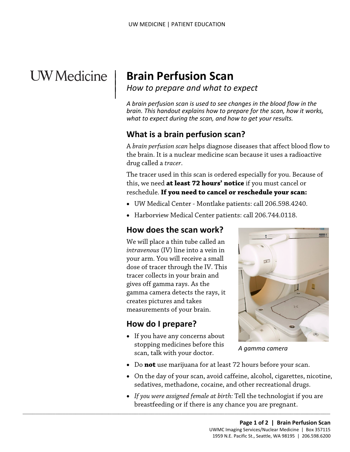# **UW** Medicine

 $\overline{\phantom{a}}$ 

# | **Brain Perfusion Scan**

<sup>|</sup>*How to prepare and what to expect* <sup>|</sup>

*A brain perfusion scan is used to see changes in the blood flow in the brain. This handout explains how to prepare for the scan, how it works, what to expect during the scan, and how to get your results.* 

# **What is a brain perfusion scan?**

 the brain. It is a nuclear medicine scan because it uses a radioactive drug called a *tracer*. A *brain perfusion scan* helps diagnose diseases that affect blood flow to

 reschedule. **If you need to cancel or reschedule your scan:**  The tracer used in this scan is ordered especially for you. Because of this, we need **at least 72 hours' notice** if you must cancel or

- UW Medical Center Montlake patients: call 206.598.4240.
- Harborview Medical Center patients: call 206.744.0118.

#### **How does the scan work?**

 dose of tracer through the IV. This gamma camera detects the rays, it We will place a thin tube called an *intravenous* (IV) line into a vein in your arm. You will receive a small tracer collects in your brain and gives off gamma rays. As the creates pictures and takes measurements of your brain.

#### **How do I prepare?**

• If you have any concerns about stopping medicines before this scan, talk with your doctor.

 $\_$  ,  $\_$  ,  $\_$  ,  $\_$  ,  $\_$  ,  $\_$  ,  $\_$  ,  $\_$  ,  $\_$  ,  $\_$  ,  $\_$  ,  $\_$  ,  $\_$  ,  $\_$  ,  $\_$  ,  $\_$  ,  $\_$  ,  $\_$  ,  $\_$  ,  $\_$  ,  $\_$  ,  $\_$  ,  $\_$  ,  $\_$  ,  $\_$  ,  $\_$  ,  $\_$  ,  $\_$  ,  $\_$  ,  $\_$  ,  $\_$  ,  $\_$  ,  $\_$  ,  $\_$  ,  $\_$  ,  $\_$  ,  $\_$  ,



*A gamma camera* 

- Do **not** use marijuana for at least 72 hours before your scan.
- • On the day of your scan, avoid caffeine, alcohol, cigarettes, nicotine, sedatives, methadone, cocaine, and other recreational drugs.
- *If you were assigned female at birth:* Tell the technologist if you are breastfeeding or if there is any chance you are pregnant.